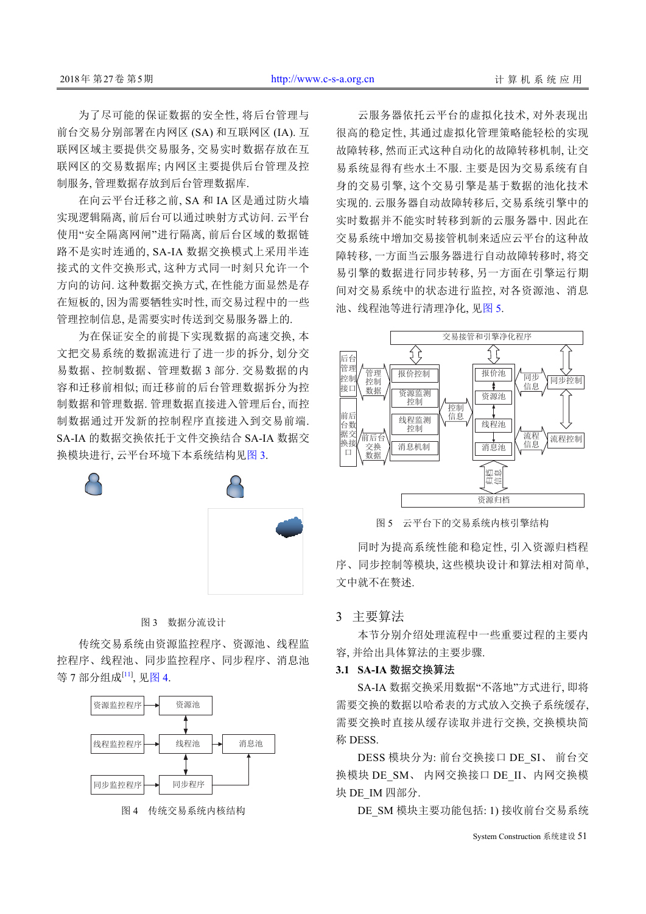为了尽可能的保证数据的安全性, 将后台管理与 前台交易分别部署在内网区 (SA) 和互联网区 (IA). 互 联网区域主要提供交易服务, 交易实时数据存放在互 联网区的交易数据库; 内网区主要提供后台管理及控 制服务, 管理数据存放到后台管理数据库.

在向云平台迁移之前, SA 和 IA 区是通过防火墙 实现逻辑隔离, 前后台可以通过映射方式访问. 云平台 使用"安全隔离网闸"进行隔离, 前后台区域的数据链 路不是实时连通的, SA-IA 数据交换模式上采用半连 接式的文件交换形式, 这种方式同一时刻只允许一个 方向的访问. 这种数据交换方式, 在性能方面显然是存 在短板的, 因为需要牺牲实时性, 而交易过程中的一些 管理控制信息, 是需要实时传送到交易服务器上的.

为在保证安全的前提下实现数据的高速交换, 本 文把交易系统的数据流进行了进一步的拆分, 划分交 易数据、控制数据、管理数据 3 部分. 交易数据的内 容和迁移前相似; 而迁移前的后台管理数据拆分为控 制数据和管理数据. 管理数据直接进入管理后台, 而控 制数据通过开发新的控制程序直接进入到交易前端. SA-IA 的数据交换依托于文件交换结合 SA-IA 数据交 换模块进行, 云平台环境下本系统结构[见图](#page-2-0) [3.](#page-2-0)

云服务器依托云平台的虚拟化技术, 对外表现出 很高的稳定性, 其通过虚拟化管理策略能轻松的实现 故障转移, 然而正式这种自动化的故障转移机制, 让交 易系统显得有些水土不服. 主要是因为交易系统有自 身的交易引擎, 这个交易引擎是基于数据的池化技术 实现的. 云服务器自动故障转移后, 交易系统引擎中的 实时数据并不能实时转移到新的云服务器中. 因此在 交易系统中增加交易接管机制来适应云平台的这种故 障转移, 一方面当云服务器进行自动故障转移时, 将交 易引擎的数据进行同步转移, 另一方面在引擎运行期 间对交易系统中的状态进行监控, 对各资源池、消息 池、线程池等进行清理净化, 见[图](#page-2-2) [5](#page-2-2).



图 5 云平台下的交易系统内核引擎结构

<span id="page-2-2"></span>同时为提高系统性能和稳定性, 引入资源归档程 序、同步控制等模块, 这些模块设计和算法相对简单, 文中就不在赘述.

## 3 主要算法

本节分别介绍处理流程中一些重要过程的主要内 容 并给出具体算法的主要步骤.

## **3.1 SA-IA** 数据交换算法

SA-IA 数据交换采用数据"不落地"方式进行, 即将 需要交换的数据以哈希表的方式放入交换子系统缓存, 需要交换时直接从缓存读取并进行交换, 交换模块简 称 DESS.

DESS 模块分为: 前台交换接口 DE\_SI、 前台交 换模块 DE\_SM、 内网交换接口 DE\_II、内网交换模 块 DE\_IM 四部分.

DE\_SM 模块主要功能包括: 1) 接收前台交易系统

System Construction 系统建设 51

### 图 3 数据分流设计

<span id="page-2-0"></span>传统交易系统由资源监控程序、资源池、线程监 控程序、线程池、同步监控程序、同步程序、消息池 等 7 部分组成[\[11](#page-6-0)], 见[图](#page-2-1) [4](#page-2-1).



<span id="page-2-1"></span>图 4 传统交易系统内核结构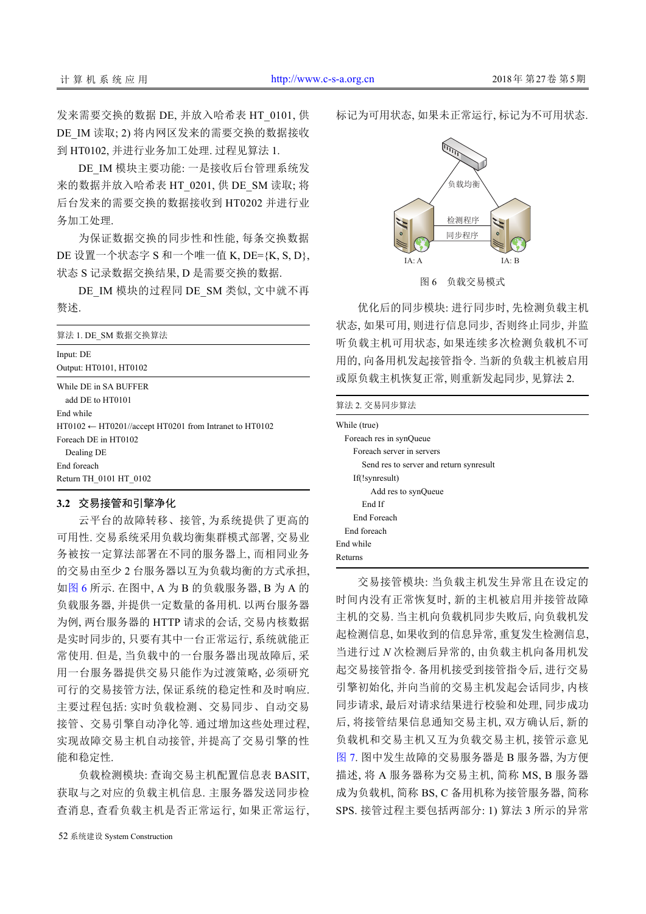发来需要交换的数据 DE, 并放入哈希表 HT\_0101, 供 DE\_IM 读取; 2) 将内网区发来的需要交换的数据接收 到 HT0102, 并进行业务加工处理. 过程见算法 1.

DE IM 模块主要功能: 一是接收后台管理系统发 来的数据并放入哈希表 HT\_0201, 供 DE\_SM 读取; 将 后台发来的需要交换的数据接收到 HT0202 并进行业 务加工处理.

为保证数据交换的同步性和性能, 每条交换数据 DE 设置一个状态字 S 和一个唯一值 K, DE={K, S, D}, 状态 S 记录数据交换结果, D 是需要交换的数据.

DE\_IM 模块的过程同 DE\_SM 类似, 文中就不再 赘述.

| 算法 1. DE SM 数据交换算法                                                              |
|---------------------------------------------------------------------------------|
| Input: DE                                                                       |
| Output: HT0101, HT0102                                                          |
| While DE in SA BUFFER<br>add DE to HT0101                                       |
| End while<br>$HT0102 \leftarrow HT0201//$ accept HT0201 from Intranet to HT0102 |
| Foreach DE in HT0102<br>Dealing DE<br>End foreach                               |
| Return TH 0101 HT 0102                                                          |

### **3.2** 交易接管和引擎净化

云平台的故障转移、接管, 为系统提供了更高的 可用性. 交易系统采用负载均衡集群模式部署, 交易业 务被按一定算法部署在不同的服务器上, 而相同业务 的交易由至少 2 台服务器以互为负载均衡的方式承担, [如图](#page-3-0) [6](#page-3-0) 所示. 在图中, A 为 B 的负载服务器, B 为 A 的 负载服务器, 并提供一定数量的备用机. 以两台服务器 为例, 两台服务器的 HTTP 请求的会话, 交易内核数据 是实时同步的, 只要有其中一台正常运行, 系统就能正 常使用. 但是, 当负载中的一台服务器出现故障后, 采 用一台服务器提供交易只能作为过渡策略, 必须研究 可行的交易接管方法, 保证系统的稳定性和及时响应. 主要过程包括: 实时负载检测、交易同步、自动交易 接管、交易引擎自动净化等. 通过增加这些处理过程, 实现故障交易主机自动接管, 并提高了交易引擎的性 能和稳定性.

负载检测模块: 查询交易主机配置信息表 BASIT, 获取与之对应的负载主机信息. 主服务器发送同步检 查消息, 查看负载主机是否正常运行, 如果正常运行, 标记为可用状态, 如果未正常运行, 标记为不可用状态.



图 6 负载交易模式

<span id="page-3-0"></span>优化后的同步模块: 进行同步时, 先检测负载主机 状态, 如果可用, 则进行信息同步, 否则终止同步, 并监 听负载主机可用状态, 如果连续多次检测负载机不可 用的, 向备用机发起接管指令. 当新的负载主机被启用 或原负载主机恢复正常, 则重新发起同步, 见算法 2.

#### 算法 2. 交易同步算法

| While (true)                            |
|-----------------------------------------|
| Foreach res in synQueue                 |
| Foreach server in servers               |
| Send res to server and return synresult |
| If(!synresult)                          |
| Add res to synQueue                     |
| End If                                  |
| End Foreach                             |
| End foreach                             |
| End while                               |
| Returns                                 |

交易接管模块: 当负载主机发生异常且在设定的 时间内没有正常恢复时, 新的主机被启用并接管故障 主机的交易. 当主机向负载机同步失败后, 向负载机发 起检测信息, 如果收到的信息异常, 重复发生检测信息, 当进行过 *N* 次检测后异常的, 由负载主机向备用机发 起交易接管指令. 备用机接受到接管指令后, 进行交易 引擎初始化, 并向当前的交易主机发起会话同步, 内核 同步请求, 最后对请求结果进行校验和处理, 同步成功 后, 将接管结果信息通知交易主机, 双方确认后, 新的 [负载](#page-4-0)机和交易主机又互为负载交易主机, 接管示意见 [图](#page-4-0) [7](#page-4-0). 图中发生故障的交易服务器是 B 服务器, 为方便 描述, 将 A 服务器称为交易主机, 简称 MS, B 服务器 成为负载机, 简称 BS, C 备用机称为接管服务器, 简称 SPS. 接管过程主要包括两部分: 1) 算法 3 所示的异常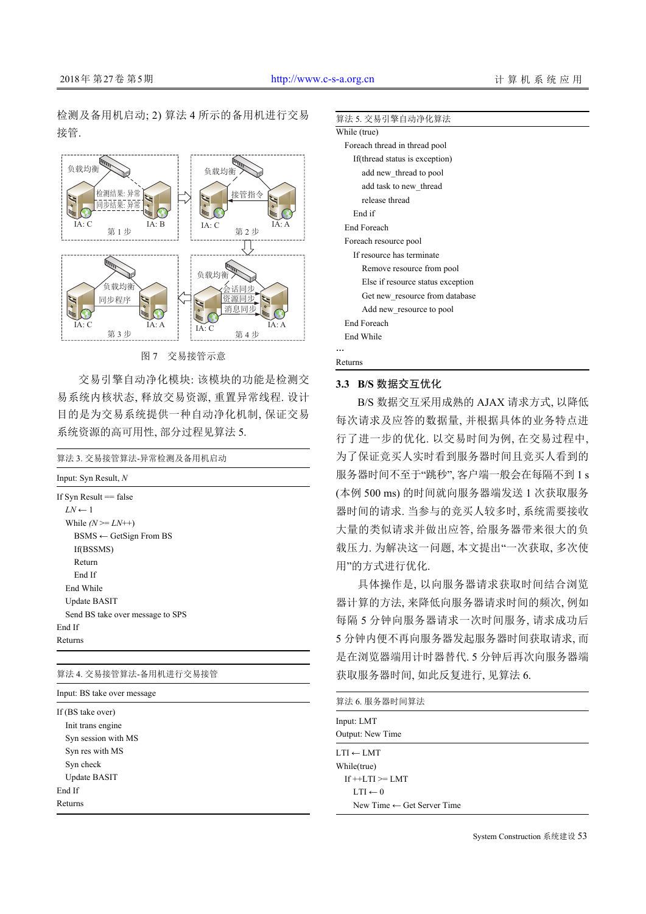检测及备用机启动; 2) 算法 4 所示的备用机进行交易 接管.



图 7 交易接管示意

<span id="page-4-0"></span>交易引擎自动净化模块: 该模块的功能是检测交 易系统内核状态, 释放交易资源, 重置异常线程. 设计 目的是为交易系统提供一种自动净化机制, 保证交易 系统资源的高可用性, 部分过程见算法 5.

| 算法 3. 交易接管算法-异常检测及备用机启动           |
|-----------------------------------|
| Input: Syn Result, $N$            |
| If Syn Result $==$ false          |
| $LN \leftarrow 1$                 |
| While $(N \geq L N^{++})$         |
| $BSMS \leftarrow GetSign$ From BS |
| If(BSSMS)                         |
| Return                            |
| End If                            |
| End While                         |
| Update BASIT                      |
| Send BS take over message to SPS  |
| End If                            |
| Returns                           |
|                                   |

# 算法 4. 交易接管算法-备用机进行交易接管

Input: BS take over message

If (BS take over) Init trans engine Syn session with MS Syn res with MS Syn check Update BASIT End If Returns

### 算法 5. 交易引擎自动净化算法

| While (true)                      |  |
|-----------------------------------|--|
| Foreach thread in thread pool     |  |
| If(thread status is exception)    |  |
| add new thread to pool            |  |
| add task to new thread            |  |
| release thread                    |  |
| End if                            |  |
| <b>End Foreach</b>                |  |
| Foreach resource pool             |  |
| If resource has terminate         |  |
| Remove resource from pool         |  |
| Else if resource status exception |  |
| Get new resource from database    |  |
| Add new resource to pool          |  |
| <b>End Foreach</b>                |  |
| End While                         |  |
|                                   |  |
| Returns                           |  |

#### **3.3 B/S** 数据交互优化

B/S 数据交互采用成熟的 AJAX 请求方式, 以降低 每次请求及应答的数据量, 并根据具体的业务特点进 行了进一步的优化. 以交易时间为例, 在交易过程中, 为了保证竞买人实时看到服务器时间且竞买人看到的 服务器时间不至于"跳秒", 客户端一般会在每隔不到 1 s (本例 500 ms) 的时间就向服务器端发送 1 次获取服务 器时间的请求. 当参与的竞买人较多时, 系统需要接收 大量的类似请求并做出应答, 给服务器带来很大的负 载压力. 为解决这一问题, 本文提出"一次获取, 多次使 用"的方式进行优化.

具体操作是, 以向服务器请求获取时间结合浏览 器计算的方法, 来降低向服务器请求时间的频次, 例如 每隔 5 分钟向服务器请求一次时间服务, 请求成功后 5 分钟内便不再向服务器发起服务器时间获取请求, 而 是在浏览器端用计时器替代. 5 分钟后再次向服务器端 获取服务器时间, 如此反复进行, 见算法 6.

| 算法 6. 服务器时间算法                         |  |
|---------------------------------------|--|
| Input: LMT<br>Output: New Time        |  |
| $LTI \leftarrow LMT$                  |  |
| While(true)                           |  |
| $If ++LTI \geq LMT$                   |  |
| $0 \rightarrow \text{IT}$             |  |
| New Time $\leftarrow$ Get Server Time |  |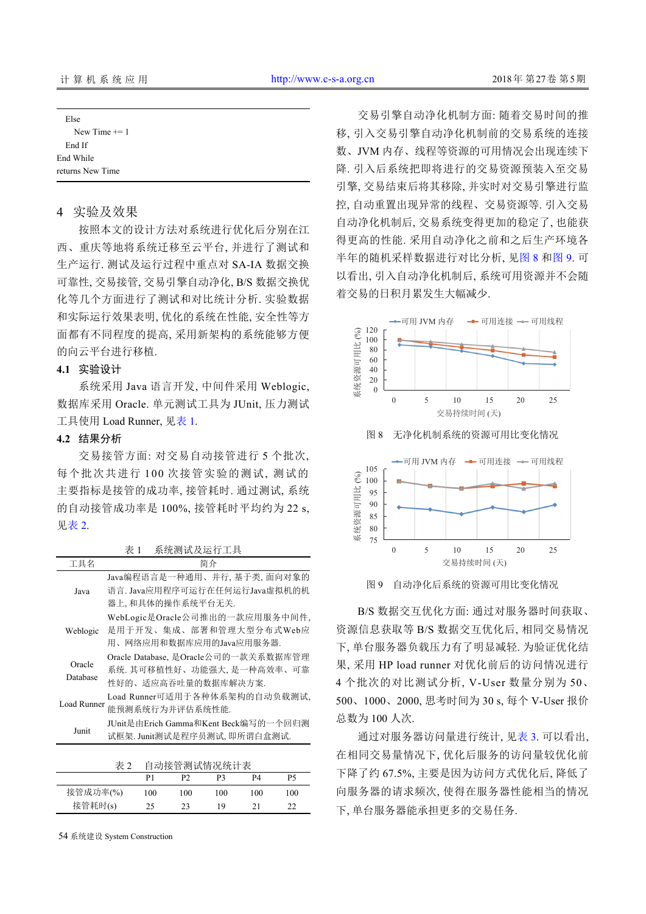| Else             |  |
|------------------|--|
| New Time $+= 1$  |  |
| End If           |  |
| End While        |  |
| returns New Time |  |
|                  |  |

# 4 实验及效果

按照本文的设计方法对系统进行优化后分别在江 西、重庆等地将系统迁移至云平台, 并进行了测试和 生产运行. 测试及运行过程中重点对 SA-IA 数据交换 可靠性, 交易接管, 交易引擎自动净化, B/S 数据交换优 化等几个方面进行了测试和对比统计分析. 实验数据 和实际运行效果表明, 优化的系统在性能, 安全性等方 面都有不同程度的提高, 采用新架构的系统能够方便 的向云平台进行移植.

### **4.1** 实验设计

系统采用 Java 语言开发, 中间件采用 Weblogic, 数据库采用 Oracle. 单元测试工具为 JUnit, 压力测试 工具使用 Load Runner, [见表](#page-5-0) [1](#page-5-0).

### **4.2** 结果分析

交易接管方面: 对交易自动接管进行 5 个批次, 每个批次共进行 1 00 次接管实验的测试, 测试的 主要指标是接管的成功率, 接管耗时. 通过测试, 系统 的自动接管成功率是 100%, 接管耗时平均约为 22 s, [见表](#page-5-1) [2](#page-5-1).

<span id="page-5-0"></span>表 1 系统测试及运行工具

工具名 简介 Java Java编程语言是一种通用、并行, 基于类, 面向对象的 语言. Java应用程序可运行在任何运行Java虚拟机的机 器上, 和具体的操作系统平台无关. Weblogic 是用于开发、集成、部署和管理大型分布式Web应 WebLogic是Oracle公司推出的一款应用服务中间件, 用、网络应用和数据库应用的Java应用服务器. Oracle Database Oracle Database, 是Oracle公司的一款关系数据库管理 系统. 其可移植性好、功能强大, 是一种高效率、可靠 性好的、适应高吞吐量的数据库解决方案. Load Runner Load Runner可适用于各种体系架构的自动负载测试, 能预测系统行为并评估系统性能. Junit JUnit是由Erich Gamma和Kent Beck编写的一个回归测 试框架. Junit测试是程序员测试, 即所谓白盒测试.

<span id="page-5-1"></span>

| 表 2      | 自动接管测试情况统计表 |     |     |     |     |
|----------|-------------|-----|-----|-----|-----|
|          | P1          | P?  | P3. | P4  | P5  |
| 接管成功率(%) | 100         | 100 | 100 | 100 | 100 |
| 接管耗时(s)  | 25          | 23  | 19  | 21  | フフ  |

54 系统建设 System Construction

交易引擎自动净化机制方面: 随着交易时间的推 移, 引入交易引擎自动净化机制前的交易系统的连接 数、JVM 内存、线程等资源的可用情况会出现连续下 降. 引入后系统把即将进行的交易资源预装入至交易 引擎, 交易结束后将其移除, 并实时对交易引擎进行监 控, 自动重置出现异常的线程、交易资源等. 引入交易 自动净化机制后, 交易系统变得更加的稳定了, 也能获 得更高的性能. 采用自动净化之前和之后生产环境各 半年的随机采样数据进行对比分析, 见[图](#page-5-2) [8](#page-5-2) [和图](#page-5-3) [9](#page-5-3). 可 以看出, 引入自动净化机制后, 系统可用资源并不会随 着交易的日积月累发生大幅减少.

<span id="page-5-2"></span>

<span id="page-5-3"></span>图 9 自动净化后系统的资源可用比变化情况

B/S 数据交互优化方面: 通过对服务器时间获取、 资源信息获取等 B/S 数据交互优化后, 相同交易情况 下, 单台服务器负载压力有了明显减轻. 为验证优化结 果, 采用 HP load runner 对优化前后的访问情况进行 4 个批次的对比测试分析, V-User 数量分别为 50、 500、1000、2000, 思考时间为 30 s, 每个 V-User 报价 总数为 100 人次.

通过对服务器访问量进行统计, 见[表](#page-6-1) [3](#page-6-1). 可以看出, 在相同交易量情况下, 优化后服务的访问量较优化前 下降了约 67.5%, 主要是因为访问方式优化后, 降低了 向服务器的请求频次, 使得在服务器性能相当的情况 下, 单台服务器能承担更多的交易任务.